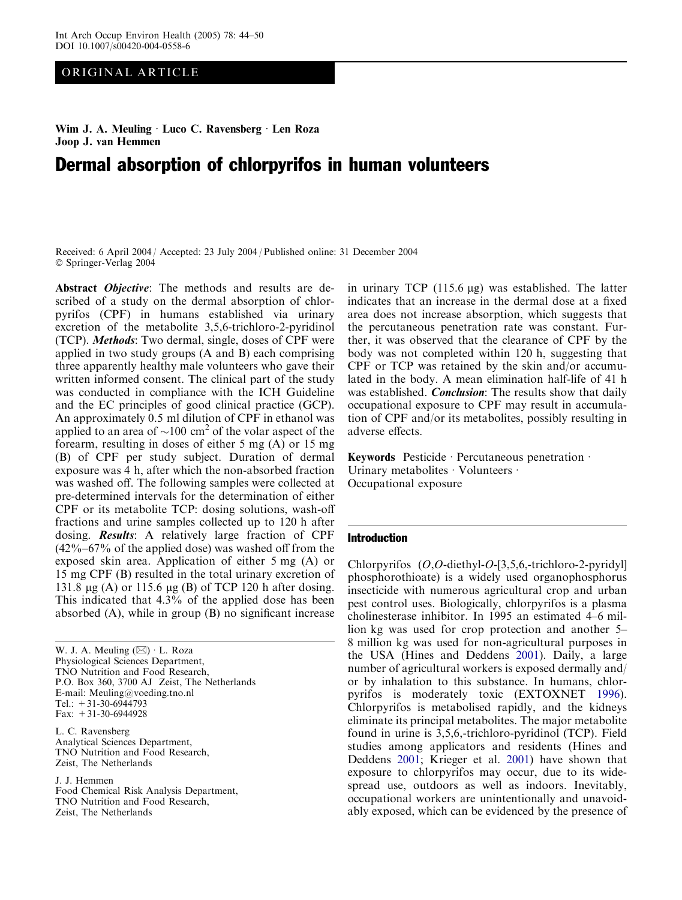# ORIGINAL ARTICLE

Wim J. A. Meuling · Luco C. Ravensberg · Len Roza Joop J. van Hemmen

# Dermal absorption of chlorpyrifos in human volunteers

Received: 6 April 2004 / Accepted: 23 July 2004 / Published online: 31 December 2004 Springer-Verlag 2004

Abstract Objective: The methods and results are described of a study on the dermal absorption of chlorpyrifos (CPF) in humans established via urinary excretion of the metabolite 3,5,6-trichloro-2-pyridinol (TCP). Methods: Two dermal, single, doses of CPF were applied in two study groups (A and B) each comprising three apparently healthy male volunteers who gave their written informed consent. The clinical part of the study was conducted in compliance with the ICH Guideline and the EC principles of good clinical practice (GCP). An approximately 0.5 ml dilution of CPF in ethanol was applied to an area of  $\sim$ 100 cm<sup>2</sup> of the volar aspect of the forearm, resulting in doses of either 5 mg (A) or 15 mg (B) of CPF per study subject. Duration of dermal exposure was 4 h, after which the non-absorbed fraction was washed off. The following samples were collected at pre-determined intervals for the determination of either CPF or its metabolite TCP: dosing solutions, wash-off fractions and urine samples collected up to 120 h after dosing. Results: A relatively large fraction of CPF  $(42\%-67\%)$  of the applied dose) was washed off from the exposed skin area. Application of either 5 mg (A) or 15 mg CPF (B) resulted in the total urinary excretion of 131.8  $\mu$ g (A) or 115.6  $\mu$ g (B) of TCP 120 h after dosing. This indicated that 4.3% of the applied dose has been absorbed (A), while in group (B) no significant increase

W. J. A. Meuling  $(\boxtimes) \cdot$  L. Roza Physiological Sciences Department, TNO Nutrition and Food Research, P.O. Box 360, 3700 AJ Zeist, The Netherlands E-mail: Meuling@voeding.tno.nl Tel.:  $+31-30-6944793$ Fax: +31-30-6944928 L. C. Ravensberg Analytical Sciences Department, TNO Nutrition and Food Research, Zeist, The Netherlands

J. J. Hemmen Food Chemical Risk Analysis Department, TNO Nutrition and Food Research, Zeist, The Netherlands

in urinary TCP  $(115.6 \mu g)$  was established. The latter indicates that an increase in the dermal dose at a fixed area does not increase absorption, which suggests that the percutaneous penetration rate was constant. Further, it was observed that the clearance of CPF by the body was not completed within 120 h, suggesting that CPF or TCP was retained by the skin and/or accumulated in the body. A mean elimination half-life of 41 h was established. *Conclusion*: The results show that daily occupational exposure to CPF may result in accumulation of CPF and/or its metabolites, possibly resulting in adverse effects.

Keywords Pesticide · Percutaneous penetration  $\cdot$ Urinary metabolites  $\cdot$  Volunteers  $\cdot$ Occupational exposure

#### Introduction

Chlorpyrifos (O,O-diethyl-O-[3,5,6,-trichloro-2-pyridyl] phosphorothioate) is a widely used organophosphorus insecticide with numerous agricultural crop and urban pest control uses. Biologically, chlorpyrifos is a plasma cholinesterase inhibitor. In 1995 an estimated 4–6 million kg was used for crop protection and another 5– 8 million kg was used for non-agricultural purposes in the USA (Hines and Deddens [2001](#page-6-0)). Daily, a large number of agricultural workers is exposed dermally and/ or by inhalation to this substance. In humans, chlorpyrifos is moderately toxic (EXTOXNET [1996\)](#page-6-0). Chlorpyrifos is metabolised rapidly, and the kidneys eliminate its principal metabolites. The major metabolite found in urine is 3,5,6,-trichloro-pyridinol (TCP). Field studies among applicators and residents (Hines and Deddens [2001;](#page-6-0) Krieger et al. [2001](#page-6-0)) have shown that exposure to chlorpyrifos may occur, due to its widespread use, outdoors as well as indoors. Inevitably, occupational workers are unintentionally and unavoidably exposed, which can be evidenced by the presence of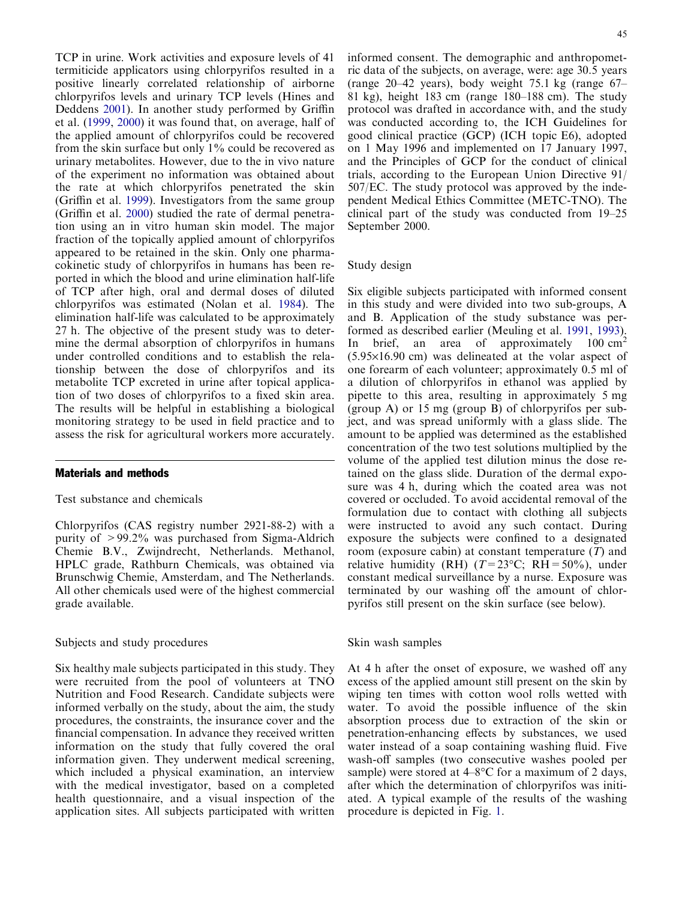TCP in urine. Work activities and exposure levels of 41 termiticide applicators using chlorpyrifos resulted in a positive linearly correlated relationship of airborne chlorpyrifos levels and urinary TCP levels (Hines and Deddens [2001](#page-6-0)). In another study performed by Griffin et al. [\(1999](#page-6-0), [2000\)](#page-6-0) it was found that, on average, half of the applied amount of chlorpyrifos could be recovered from the skin surface but only 1% could be recovered as urinary metabolites. However, due to the in vivo nature of the experiment no information was obtained about the rate at which chlorpyrifos penetrated the skin (Griffin et al. [1999\)](#page-6-0). Investigators from the same group (Griffin et al. [2000](#page-6-0)) studied the rate of dermal penetration using an in vitro human skin model. The major fraction of the topically applied amount of chlorpyrifos appeared to be retained in the skin. Only one pharmacokinetic study of chlorpyrifos in humans has been reported in which the blood and urine elimination half-life of TCP after high, oral and dermal doses of diluted chlorpyrifos was estimated (Nolan et al. [1984](#page-6-0)). The elimination half-life was calculated to be approximately 27 h. The objective of the present study was to determine the dermal absorption of chlorpyrifos in humans under controlled conditions and to establish the relationship between the dose of chlorpyrifos and its metabolite TCP excreted in urine after topical application of two doses of chlorpyrifos to a fixed skin area. The results will be helpful in establishing a biological monitoring strategy to be used in field practice and to assess the risk for agricultural workers more accurately.

## Materials and methods

# Test substance and chemicals

Chlorpyrifos (CAS registry number 2921-88-2) with a purity of >99.2% was purchased from Sigma-Aldrich Chemie B.V., Zwijndrecht, Netherlands. Methanol, HPLC grade, Rathburn Chemicals, was obtained via Brunschwig Chemie, Amsterdam, and The Netherlands. All other chemicals used were of the highest commercial grade available.

## Subjects and study procedures

Six healthy male subjects participated in this study. They were recruited from the pool of volunteers at TNO Nutrition and Food Research. Candidate subjects were informed verbally on the study, about the aim, the study procedures, the constraints, the insurance cover and the financial compensation. In advance they received written information on the study that fully covered the oral information given. They underwent medical screening, which included a physical examination, an interview with the medical investigator, based on a completed health questionnaire, and a visual inspection of the application sites. All subjects participated with written informed consent. The demographic and anthropometric data of the subjects, on average, were: age 30.5 years (range 20–42 years), body weight 75.1 kg (range 67– 81 kg), height 183 cm (range 180–188 cm). The study protocol was drafted in accordance with, and the study was conducted according to, the ICH Guidelines for good clinical practice (GCP) (ICH topic E6), adopted on 1 May 1996 and implemented on 17 January 1997, and the Principles of GCP for the conduct of clinical trials, according to the European Union Directive 91/ 507/EC. The study protocol was approved by the independent Medical Ethics Committee (METC-TNO). The clinical part of the study was conducted from 19–25 September 2000.

## Study design

Six eligible subjects participated with informed consent in this study and were divided into two sub-groups, A and B. Application of the study substance was performed as described earlier (Meuling et al. [1991](#page-6-0), [1993\)](#page-6-0). In brief, an area of approximately  $100 \text{ cm}^2$  $(5.95\times16.90)$  cm was delineated at the volar aspect of one forearm of each volunteer; approximately 0.5 ml of a dilution of chlorpyrifos in ethanol was applied by pipette to this area, resulting in approximately 5 mg (group A) or 15 mg (group B) of chlorpyrifos per subject, and was spread uniformly with a glass slide. The amount to be applied was determined as the established concentration of the two test solutions multiplied by the volume of the applied test dilution minus the dose retained on the glass slide. Duration of the dermal exposure was 4 h, during which the coated area was not covered or occluded. To avoid accidental removal of the formulation due to contact with clothing all subjects were instructed to avoid any such contact. During exposure the subjects were confined to a designated room (exposure cabin) at constant temperature  $(T)$  and relative humidity (RH)  $(T=23^{\circ}\text{C}; \text{RH}=50\%)$ , under constant medical surveillance by a nurse. Exposure was terminated by our washing off the amount of chlorpyrifos still present on the skin surface (see below).

## Skin wash samples

At 4 h after the onset of exposure, we washed off any excess of the applied amount still present on the skin by wiping ten times with cotton wool rolls wetted with water. To avoid the possible influence of the skin absorption process due to extraction of the skin or penetration-enhancing effects by substances, we used water instead of a soap containing washing fluid. Five wash-off samples (two consecutive washes pooled per sample) were stored at  $4-8$ °C for a maximum of 2 days, after which the determination of chlorpyrifos was initiated. A typical example of the results of the washing procedure is depicted in Fig. [1.](#page-2-0)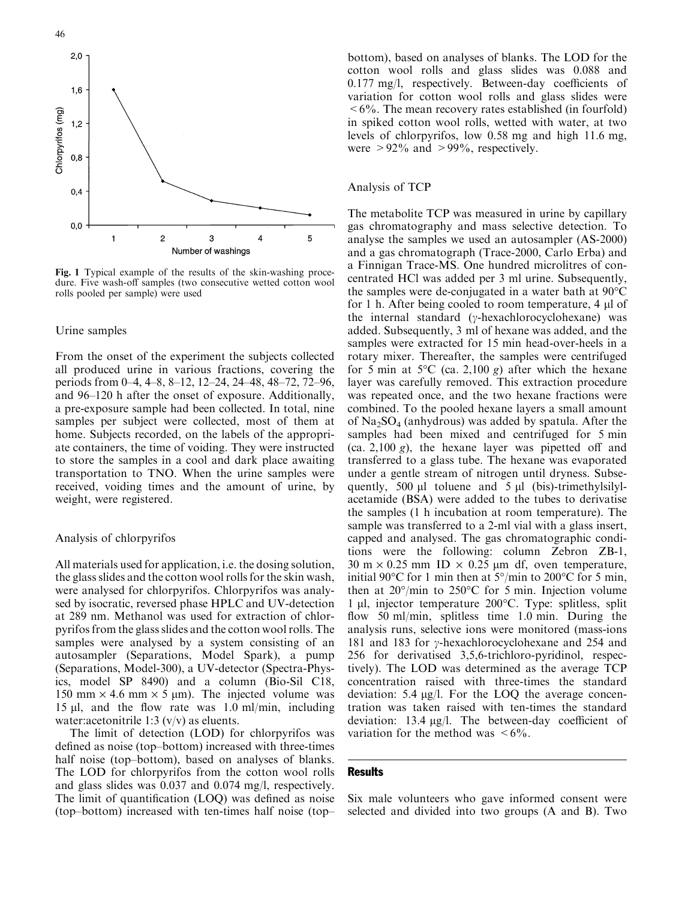<span id="page-2-0"></span>

Fig. 1 Typical example of the results of the skin-washing procedure. Five wash-off samples (two consecutive wetted cotton wool rolls pooled per sample) were used

## Urine samples

From the onset of the experiment the subjects collected all produced urine in various fractions, covering the periods from 0–4, 4–8, 8–12, 12–24, 24–48, 48–72, 72–96, and 96–120 h after the onset of exposure. Additionally, a pre-exposure sample had been collected. In total, nine samples per subject were collected, most of them at home. Subjects recorded, on the labels of the appropriate containers, the time of voiding. They were instructed to store the samples in a cool and dark place awaiting transportation to TNO. When the urine samples were received, voiding times and the amount of urine, by weight, were registered.

#### Analysis of chlorpyrifos

All materials used for application, i.e. the dosing solution, the glass slides and the cotton wool rolls for the skin wash, were analysed for chlorpyrifos. Chlorpyrifos was analysed by isocratic, reversed phase HPLC and UV-detection at 289 nm. Methanol was used for extraction of chlorpyrifos from the glass slides and the cotton wool rolls. The samples were analysed by a system consisting of an autosampler (Separations, Model Spark), a pump (Separations, Model-300), a UV-detector (Spectra-Physics, model SP 8490) and a column (Bio-Sil C18, 150 mm  $\times$  4.6 mm  $\times$  5 µm). The injected volume was 15 ll, and the flow rate was 1.0 ml/min, including water: acetonitrile 1:3 (v/v) as eluents.

The limit of detection (LOD) for chlorpyrifos was defined as noise (top–bottom) increased with three-times half noise (top–bottom), based on analyses of blanks. The LOD for chlorpyrifos from the cotton wool rolls and glass slides was 0.037 and 0.074 mg/l, respectively. The limit of quantification (LOQ) was defined as noise (top–bottom) increased with ten-times half noise (top–

bottom), based on analyses of blanks. The LOD for the cotton wool rolls and glass slides was 0.088 and 0.177 mg/l, respectively. Between-day coefficients of variation for cotton wool rolls and glass slides were  $\leq 6\%$ . The mean recovery rates established (in fourfold) in spiked cotton wool rolls, wetted with water, at two levels of chlorpyrifos, low 0.58 mg and high 11.6 mg, were  $> 92\%$  and  $> 99\%$ , respectively.

## Analysis of TCP

The metabolite TCP was measured in urine by capillary gas chromatography and mass selective detection. To analyse the samples we used an autosampler (AS-2000) and a gas chromatograph (Trace-2000, Carlo Erba) and a Finnigan Trace-MS. One hundred microlitres of concentrated HCl was added per 3 ml urine. Subsequently, the samples were de-conjugated in a water bath at  $90^{\circ}$ C for 1 h. After being cooled to room temperature,  $4 \mu$  of the internal standard ( $\gamma$ -hexachlorocyclohexane) was added. Subsequently, 3 ml of hexane was added, and the samples were extracted for 15 min head-over-heels in a rotary mixer. Thereafter, the samples were centrifuged for 5 min at 5 $\rm{^{\circ}C}$  (ca. 2,100 g) after which the hexane layer was carefully removed. This extraction procedure was repeated once, and the two hexane fractions were combined. To the pooled hexane layers a small amount of  $Na<sub>2</sub>SO<sub>4</sub>$  (anhydrous) was added by spatula. After the samples had been mixed and centrifuged for 5 min (ca. 2,100 g), the hexane layer was pipetted off and transferred to a glass tube. The hexane was evaporated under a gentle stream of nitrogen until dryness. Subsequently, 500  $\mu$ l toluene and 5  $\mu$ l (bis)-trimethylsilylacetamide (BSA) were added to the tubes to derivatise the samples (1 h incubation at room temperature). The sample was transferred to a 2-ml vial with a glass insert, capped and analysed. The gas chromatographic conditions were the following: column Zebron ZB-1, 30 m  $\times$  0.25 mm ID  $\times$  0.25 µm df, oven temperature, initial 90°C for 1 min then at  $5^{\circ}/$ min to 200°C for 5 min, then at  $20^{\circ}/\text{min}$  to  $250^{\circ}$ C for 5 min. Injection volume 1 µl, injector temperature 200°C. Type: splitless, split flow 50 ml/min, splitless time 1.0 min. During the analysis runs, selective ions were monitored (mass-ions 181 and 183 for  $\gamma$ -hexachlorocyclohexane and 254 and 256 for derivatised 3,5,6-trichloro-pyridinol, respectively). The LOD was determined as the average TCP concentration raised with three-times the standard deviation: 5.4  $\mu$ g/l. For the LOQ the average concentration was taken raised with ten-times the standard deviation:  $13.4 \mu g/l$ . The between-day coefficient of variation for the method was  $\leq 6\%$ .

#### **Results**

Six male volunteers who gave informed consent were selected and divided into two groups (A and B). Two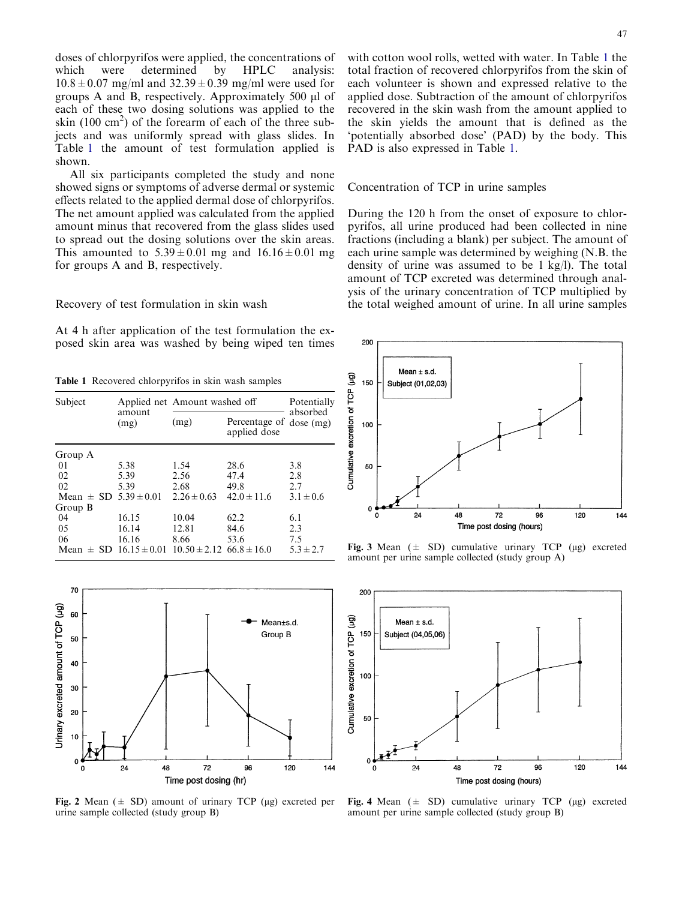<span id="page-3-0"></span>doses of chlorpyrifos were applied, the concentrations of which were determined by HPLC analysis: which were determined by HPLC analysis:  $10.8 \pm 0.07$  mg/ml and  $32.39 \pm 0.39$  mg/ml were used for groups A and B, respectively. Approximately  $500 \mu l$  of each of these two dosing solutions was applied to the skin  $(100 \text{ cm}^2)$  of the forearm of each of the three subjects and was uniformly spread with glass slides. In Table 1 the amount of test formulation applied is shown.

All six participants completed the study and none showed signs or symptoms of adverse dermal or systemic effects related to the applied dermal dose of chlorpyrifos. The net amount applied was calculated from the applied amount minus that recovered from the glass slides used to spread out the dosing solutions over the skin areas. This amounted to  $5.39 \pm 0.01$  mg and  $16.16 \pm 0.01$  mg for groups A and B, respectively.

Recovery of test formulation in skin wash

At 4 h after application of the test formulation the exposed skin area was washed by being wiped ten times

Table 1 Recovered chlorpyrifos in skin wash samples

| Subject                       |                                                                 | Applied net Amount washed off |                               | Potentially             |
|-------------------------------|-----------------------------------------------------------------|-------------------------------|-------------------------------|-------------------------|
|                               | amount<br>(mg)                                                  | (mg)                          | Percentage of<br>applied dose | absorbed<br>$dose$ (mg) |
| Group A                       |                                                                 |                               |                               |                         |
| 01                            | 5.38                                                            | 1.54                          | 28.6                          | 3.8                     |
| 02                            | 5.39                                                            | 2.56                          | 47.4                          | 2.8                     |
| 02                            | 5.39                                                            | 2.68                          | 49.8                          | 2.7                     |
| Mean $\pm$ SD 5.39 $\pm$ 0.01 |                                                                 | $2.26 \pm 0.63$               | $42.0 \pm 11.6$               | $3.1 \pm 0.6$           |
| Group B                       |                                                                 |                               |                               |                         |
| 04                            | 16.15                                                           | 10.04                         | 62.2                          | 6.1                     |
| 0.5                           | 16.14                                                           | 12.81                         | 84.6                          | 2.3                     |
| 06                            | 16.16                                                           | 8.66                          | 53.6                          | 7.5                     |
|                               | Mean $\pm$ SD 16.15 $\pm$ 0.01 10.50 $\pm$ 2.12 66.8 $\pm$ 16.0 |                               |                               | $5.3 \pm 2.7$           |



Fig. 2 Mean ( $\pm$  SD) amount of urinary TCP (µg) excreted per urine sample collected (study group B)

with cotton wool rolls, wetted with water. In Table 1 the total fraction of recovered chlorpyrifos from the skin of each volunteer is shown and expressed relative to the applied dose. Subtraction of the amount of chlorpyrifos recovered in the skin wash from the amount applied to the skin yields the amount that is defined as the 'potentially absorbed dose' (PAD) by the body. This PAD is also expressed in Table 1.

#### Concentration of TCP in urine samples

During the 120 h from the onset of exposure to chlorpyrifos, all urine produced had been collected in nine fractions (including a blank) per subject. The amount of each urine sample was determined by weighing (N.B. the density of urine was assumed to be 1 kg/l). The total amount of TCP excreted was determined through analysis of the urinary concentration of TCP multiplied by the total weighed amount of urine. In all urine samples



Fig. 3 Mean  $(\pm$  SD) cumulative urinary TCP ( $\mu$ g) excreted amount per urine sample collected (study group A)



Fig. 4 Mean  $(\pm$  SD) cumulative urinary TCP (ug) excreted amount per urine sample collected (study group B)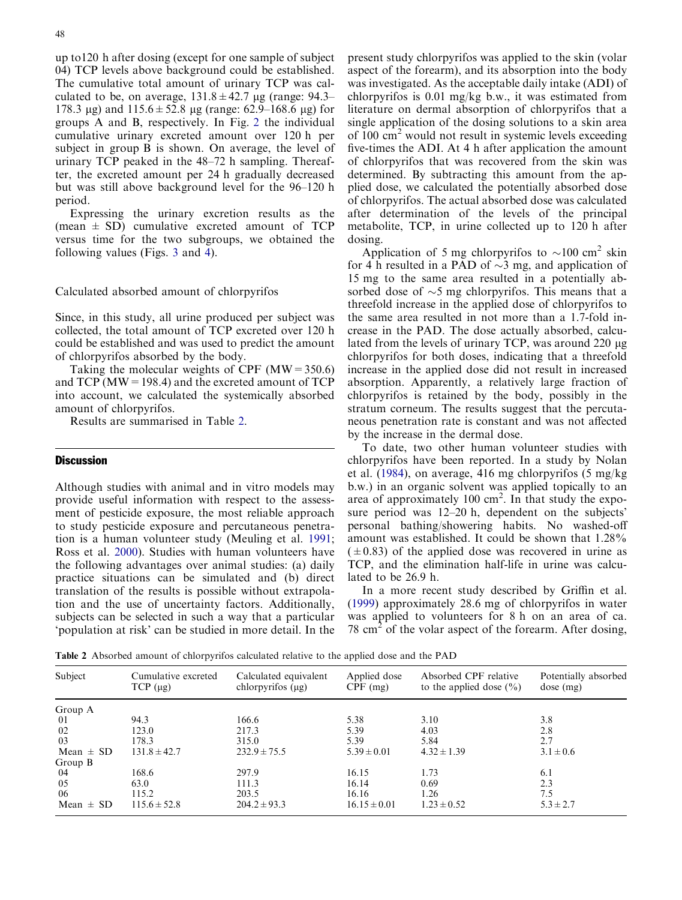up to120 h after dosing (except for one sample of subject 04) TCP levels above background could be established. The cumulative total amount of urinary TCP was calculated to be, on average,  $131.8 \pm 42.7$  µg (range: 94.3– 178.3 µg) and  $115.6 \pm 52.8$  µg (range: 62.9–168.6 µg) for groups A and B, respectively. In Fig. 2 [the individual](#page-3-0) [cumulative urinary excreted amount over 120 h per](#page-3-0) [subject in group B is shown. On average, the level of](#page-3-0) [urinary TCP peaked in the 48–72 h sampling. Thereaf](#page-3-0)[ter, the excreted amount per 24 h gradually decreased](#page-3-0) [but was still above background level for the 96–120 h](#page-3-0) [period.](#page-3-0)

Expressing the urinary excretion results as the (mean  $\pm$  SD) cumulative excreted amount of TCP versus time for the two subgroups, we obtained the following values (Figs. 3 [and](#page-3-0) 4).

Calculated absorbed amount of chlorpyrifos

Since, in this study, all urine produced per subject was collected, the total amount of TCP excreted over 120 h could be established and was used to predict the amount of chlorpyrifos absorbed by the body.

Taking the molecular weights of CPF  $(MW = 350.6)$ and TCP ( $MW = 198.4$ ) and the excreted amount of TCP into account, we calculated the systemically absorbed amount of chlorpyrifos.

Results are summarised in Table 2.

## **Discussion**

Although studies with animal and in vitro models may provide useful information with respect to the assessment of pesticide exposure, the most reliable approach to study pesticide exposure and percutaneous penetration is a human volunteer study (Meuling et al. [1991](#page-6-0); Ross et al. [2000](#page-6-0)). Studies with human volunteers have the following advantages over animal studies: (a) daily practice situations can be simulated and (b) direct translation of the results is possible without extrapolation and the use of uncertainty factors. Additionally, subjects can be selected in such a way that a particular 'population at risk' can be studied in more detail. In the present study chlorpyrifos was applied to the skin (volar aspect of the forearm), and its absorption into the body was investigated. As the acceptable daily intake (ADI) of chlorpyrifos is 0.01 mg/kg b.w., it was estimated from literature on dermal absorption of chlorpyrifos that a single application of the dosing solutions to a skin area of  $100 \text{ cm}^2$  would not result in systemic levels exceeding five-times the ADI. At 4 h after application the amount of chlorpyrifos that was recovered from the skin was determined. By subtracting this amount from the applied dose, we calculated the potentially absorbed dose of chlorpyrifos. The actual absorbed dose was calculated after determination of the levels of the principal metabolite, TCP, in urine collected up to 120 h after dosing.

Application of 5 mg chlorpyrifos to  $\sim$ 100 cm<sup>2</sup> skin for 4 h resulted in a PAD of  $\sim$ 3 mg, and application of 15 mg to the same area resulted in a potentially absorbed dose of  $\sim$ 5 mg chlorpyrifos. This means that a threefold increase in the applied dose of chlorpyrifos to the same area resulted in not more than a 1.7-fold increase in the PAD. The dose actually absorbed, calculated from the levels of urinary TCP, was around  $220 \mu$ g chlorpyrifos for both doses, indicating that a threefold increase in the applied dose did not result in increased absorption. Apparently, a relatively large fraction of chlorpyrifos is retained by the body, possibly in the stratum corneum. The results suggest that the percutaneous penetration rate is constant and was not affected by the increase in the dermal dose.

To date, two other human volunteer studies with chlorpyrifos have been reported. In a study by Nolan et al. [\(1984](#page-6-0)), on average, 416 mg chlorpyrifos (5 mg/kg b.w.) in an organic solvent was applied topically to an area of approximately  $100 \text{ cm}^2$ . In that study the exposure period was 12–20 h, dependent on the subjects' personal bathing/showering habits. No washed-off amount was established. It could be shown that 1.28%  $(\pm 0.83)$  of the applied dose was recovered in urine as TCP, and the elimination half-life in urine was calculated to be 26.9 h.

In a more recent study described by Griffin et al. ([1999](#page-6-0)) approximately 28.6 mg of chlorpyrifos in water was applied to volunteers for 8 h on an area of ca. 78 cm<sup>2</sup> of the volar aspect of the forearm. After dosing,

Table 2 Absorbed amount of chlorpyrifos calculated relative to the applied dose and the PAD

| Subject       | Cumulative excreted<br>TCP (µg) | Calculated equivalent<br>chlorpyrifos $(\mu g)$ | Applied dose<br>$CPF$ (mg) | Absorbed CPF relative<br>to the applied dose $(\% )$ | Potentially absorbed<br>$dose$ (mg) |
|---------------|---------------------------------|-------------------------------------------------|----------------------------|------------------------------------------------------|-------------------------------------|
| Group A       |                                 |                                                 |                            |                                                      |                                     |
| -01           | 94.3                            | 166.6                                           | 5.38                       | 3.10                                                 | 3.8                                 |
| 02            | 123.0                           | 217.3                                           | 5.39                       | 4.03                                                 | 2.8                                 |
| 03            | 178.3                           | 315.0                                           | 5.39                       | 5.84                                                 | 2.7                                 |
| Mean $\pm$ SD | $131.8 \pm 42.7$                | $232.9 \pm 75.5$                                | $5.39 \pm 0.01$            | $4.32 \pm 1.39$                                      | $3.1 \pm 0.6$                       |
| Group B       |                                 |                                                 |                            |                                                      |                                     |
| -04           | 168.6                           | 297.9                                           | 16.15                      | 1.73                                                 | 6.1                                 |
| 05            | 63.0                            | 111.3                                           | 16.14                      | 0.69                                                 | 2.3                                 |
| -06           | 115.2                           | 203.5                                           | 16.16                      | 1.26                                                 | 7.5                                 |
| Mean $\pm$ SD | $115.6 \pm 52.8$                | $204.2 \pm 93.3$                                | $16.15 \pm 0.01$           | $1.23 \pm 0.52$                                      | $5.3 \pm 2.7$                       |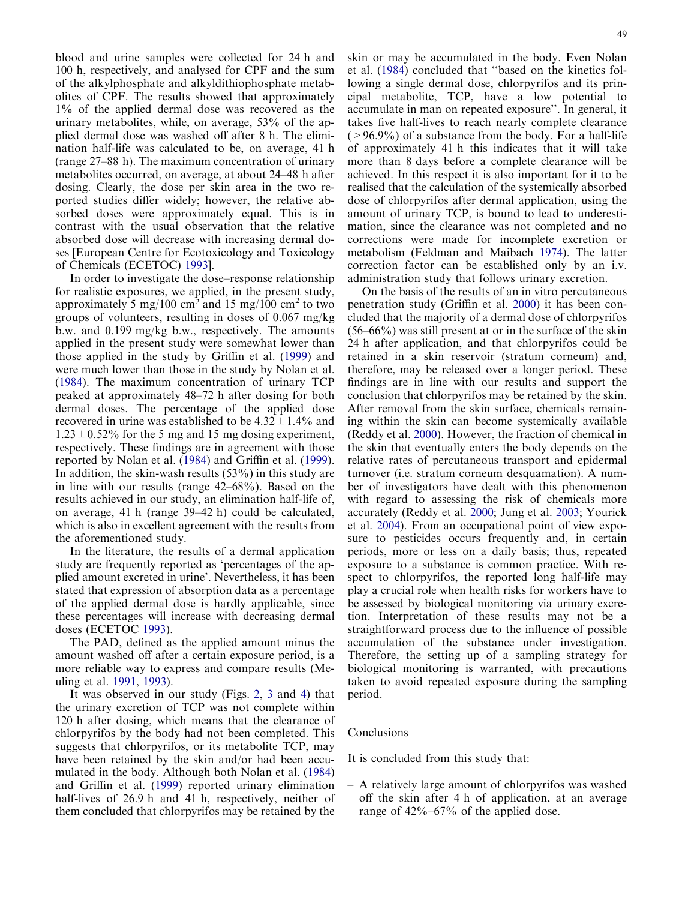blood and urine samples were collected for 24 h and 100 h, respectively, and analysed for CPF and the sum of the alkylphosphate and alkyldithiophosphate metabolites of CPF. The results showed that approximately 1% of the applied dermal dose was recovered as the urinary metabolites, while, on average, 53% of the applied dermal dose was washed off after 8 h. The elimination half-life was calculated to be, on average, 41 h (range 27–88 h). The maximum concentration of urinary metabolites occurred, on average, at about 24–48 h after dosing. Clearly, the dose per skin area in the two reported studies differ widely; however, the relative absorbed doses were approximately equal. This is in contrast with the usual observation that the relative absorbed dose will decrease with increasing dermal doses [European Centre for Ecotoxicology and Toxicology of Chemicals (ECETOC) [1993\]](#page-6-0).

In order to investigate the dose–response relationship for realistic exposures, we applied, in the present study, approximately 5 mg/100 cm<sup>2</sup> and 15 mg/100 cm<sup>2</sup> to two groups of volunteers, resulting in doses of 0.067 mg/kg b.w. and 0.199 mg/kg b.w., respectively. The amounts applied in the present study were somewhat lower than those applied in the study by Griffin et al. ([1999](#page-6-0)) and were much lower than those in the study by Nolan et al. ([1984\)](#page-6-0). The maximum concentration of urinary TCP peaked at approximately 48–72 h after dosing for both dermal doses. The percentage of the applied dose recovered in urine was established to be  $4.32 \pm 1.4\%$  and  $1.23 \pm 0.52\%$  for the 5 mg and 15 mg dosing experiment, respectively. These findings are in agreement with those reported by Nolan et al. ([1984](#page-6-0)) and Griffin et al. ([1999\)](#page-6-0). In addition, the skin-wash results (53%) in this study are in line with our results (range 42–68%). Based on the results achieved in our study, an elimination half-life of, on average, 41 h (range 39–42 h) could be calculated, which is also in excellent agreement with the results from the aforementioned study.

In the literature, the results of a dermal application study are frequently reported as 'percentages of the applied amount excreted in urine'. Nevertheless, it has been stated that expression of absorption data as a percentage of the applied dermal dose is hardly applicable, since these percentages will increase with decreasing dermal doses (ECETOC [1993\)](#page-6-0).

The PAD, defined as the applied amount minus the amount washed off after a certain exposure period, is a more reliable way to express and compare results (Meuling et al. [1991,](#page-6-0) [1993](#page-6-0)).

It was observed in our study (Figs. 2, 3 and [4\) that](#page-3-0) [the urinary excretion of TCP was not complete within](#page-3-0) [120 h after dosing, which means that the clearance of](#page-3-0) [chlorpyrifos by the body had not been completed. This](#page-3-0) [suggests that chlorpyrifos, or its metabolite TCP, may](#page-3-0) [have been retained by the skin and/or had been accu](#page-3-0)[mulated in the body. Although both Nolan et al. \(1984\)](#page-6-0) and Griffin et al. [\(1999\)](#page-6-0) reported urinary elimination half-lives of 26.9 h and 41 h, respectively, neither of them concluded that chlorpyrifos may be retained by the skin or may be accumulated in the body. Even Nolan et al. ([1984\)](#page-6-0) concluded that ''based on the kinetics following a single dermal dose, chlorpyrifos and its principal metabolite, TCP, have a low potential to accumulate in man on repeated exposure''. In general, it takes five half-lives to reach nearly complete clearance  $(>96.9\%)$  of a substance from the body. For a half-life of approximately 41 h this indicates that it will take more than 8 days before a complete clearance will be achieved. In this respect it is also important for it to be realised that the calculation of the systemically absorbed dose of chlorpyrifos after dermal application, using the amount of urinary TCP, is bound to lead to underestimation, since the clearance was not completed and no corrections were made for incomplete excretion or metabolism (Feldman and Maibach [1974](#page-6-0)). The latter correction factor can be established only by an i.v. administration study that follows urinary excretion.

On the basis of the results of an in vitro percutaneous penetration study (Griffin et al. [2000\)](#page-6-0) it has been concluded that the majority of a dermal dose of chlorpyrifos (56–66%) was still present at or in the surface of the skin 24 h after application, and that chlorpyrifos could be retained in a skin reservoir (stratum corneum) and, therefore, may be released over a longer period. These findings are in line with our results and support the conclusion that chlorpyrifos may be retained by the skin. After removal from the skin surface, chemicals remaining within the skin can become systemically available (Reddy et al. [2000](#page-6-0)). However, the fraction of chemical in the skin that eventually enters the body depends on the relative rates of percutaneous transport and epidermal turnover (i.e. stratum corneum desquamation). A number of investigators have dealt with this phenomenon with regard to assessing the risk of chemicals more accurately (Reddy et al. [2000;](#page-6-0) Jung et al. [2003](#page-6-0); Yourick et al. [2004](#page-6-0)). From an occupational point of view exposure to pesticides occurs frequently and, in certain periods, more or less on a daily basis; thus, repeated exposure to a substance is common practice. With respect to chlorpyrifos, the reported long half-life may play a crucial role when health risks for workers have to be assessed by biological monitoring via urinary excretion. Interpretation of these results may not be a straightforward process due to the influence of possible accumulation of the substance under investigation. Therefore, the setting up of a sampling strategy for biological monitoring is warranted, with precautions taken to avoid repeated exposure during the sampling period.

#### Conclusions

It is concluded from this study that:

– A relatively large amount of chlorpyrifos was washed off the skin after 4 h of application, at an average range of 42%–67% of the applied dose.